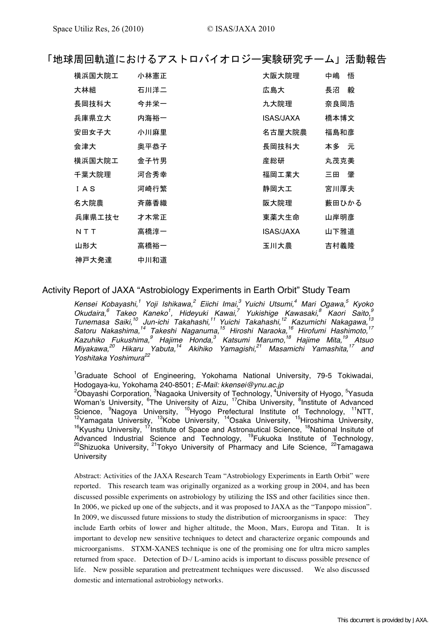| 「地球周回軌道におけるアストロバイオロジー実験研究チーム」活動報告 |  |  |  |  |
|-----------------------------------|--|--|--|--|
|-----------------------------------|--|--|--|--|

| 横浜国大院工 | 小林憲正 | 大阪大院理     | 悟<br>中嶋 |
|--------|------|-----------|---------|
| 大林組    | 石川洋二 | 広島大       | 毅<br>長沼 |
| 長岡技科大  | 今井栄一 | 九大院理      | 奈良岡浩    |
| 兵庫県立大  | 内海裕一 | ISAS/JAXA | 橋本博文    |
| 安田女子大  | 小川麻里 | 名古屋大院農    | 福島和彦    |
| 会津大    | 奥平恭子 | 長岡技科大     | 本多 元    |
| 横浜国大院工 | 金子竹男 | 産総研       | 丸茂克美    |
| 千葉大院理  | 河合秀幸 | 福岡工業大     | 肇<br>三田 |
| IAS    | 河崎行繁 | 静岡大工      | 宮川厚夫    |
| 名大院農   | 斉藤香織 | 阪大院理      | 藪田ひかる   |
| 兵庫県工技セ | 才木常正 | 東薬大生命     | 山岸明彦    |
| NTT    | 高橋淳一 | ISAS/JAXA | 山下雅道    |
| 山形大    | 高橋裕一 | 玉川大農      | 吉村義隆    |
| 神戸大発達  | 中川和道 |           |         |

# Activity Report of JAXA "Astrobiology Experiments in Earth Orbit" Study Team

Kensei Kobayashi,<sup>1</sup> Yoji Ishikawa,<sup>2</sup> Eiichi Imai,<sup>3</sup> Yuichi Utsumi,<sup>4</sup> Mari Ogawa,<sup>5</sup> Kyoko Okudaira,<sup>6</sup> Takeo Kaneko<sup>1</sup>, Hideyuki Kawai,<sup>7</sup> Yukishige Kawasaki,<sup>8</sup> Kaori Saito,<sup>9</sup><br>Tunemasa Saiki,<sup>10</sup> Jun-ichi Takahashi, Yoshitaka Yoshimura<sup>22</sup>

<sup>1</sup>Graduate School of Engineering, Yokohama National University, 79-5 Tokiwadai, Hodogaya-ku, Yokohama 240-8501; E-Mail: kkensei@ynu.ac.jp

<sup>2</sup>Obayashi Corporation, <sup>3</sup>Nagaoka University of Technology, <sup>4</sup>University of Hyogo, <sup>5</sup>Yasuda<br>Woman's University, <sup>6</sup>The University of Aizu, <sup>17</sup>Chiba University, <sup>8</sup>Institute of Advanced Science, <sup>9</sup>Nagoya University, <sup>10</sup>Hyogo Prefectural Institute of Technology, <sup>11</sup>NTT, <sup>12</sup>Yamagata University, <sup>13</sup>Kobe University, <sup>14</sup>Osaka University, <sup>15</sup>Hiroshima University, <sup>16</sup>Kyushu University, <sup>17</sup>Institute of Space and Astronautical Science, <sup>18</sup>National Insitute of Advanced Industrial Science and Technology, <sup>19</sup>Fukuoka Institute of Technology, <sup>20</sup>Shizuoka University, <sup>21</sup>Tokyo Univers University

Abstract: Activities of the JAXA Research Team "Astrobiology Experiments in Earth Orbit" were reported. This research team was originally organized as a working group in 2004, and has been discussed possible experiments on astrobiology by utilizing the ISS and other facilities since then. In 2006, we picked up one of the subjects, and it was proposed to JAXA as the "Tanpopo mission". In 2009, we discussed future missions to study the distribution of microorganisms in space: They include Earth orbits of lower and higher altitude, the Moon, Mars, Europa and Titan. It is important to develop new sensitive techniques to detect and characterize organic compounds and microorganisms. STXM-XANES technique is one of the promising one for ultra micro samples returned from space. Detection of D-/L-amino acids is important to discuss possible presence of life. New possible separation and pretreatment techniques were discussed. We also discussed domestic and international astrobiology networks.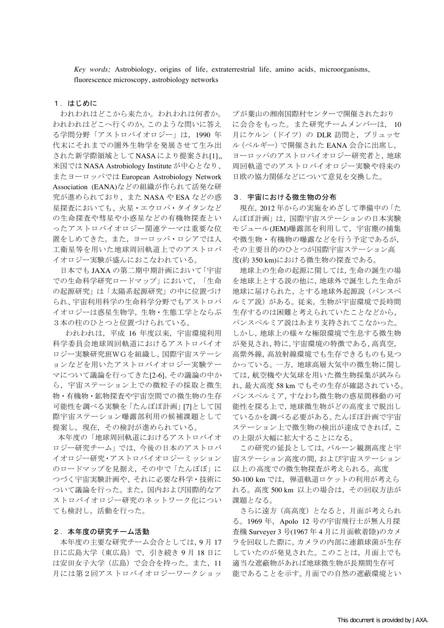Key words; Astrobiology, origins of life, extraterrestrial life, amino acids, microorganisms, fluorescence microscopy, astrobiology networks

# 1. はじめに

われわれはどこから来たか。われわれは何者か。 われわれはどこへ行くのか。このような問いに答え る学問分野「アストロバイオロジー」は、1990年 代末にそれまでの圏外生物学を発展させて生み出 された新学際領域としてNASAにより提案され[1],, 米国では NASA Astrobiology Institute が中心となり、 またヨーロッパでは European Astrobiology Network Association (EANA)などの組織が作られて活発な研 究が進められており、また NASA や ESA などの惑 星探査においても、火星・エウロパ・タイタンなど の生命探査や彗星や小惑星などの有機物探査とい ったアストロバイオロジー関連テーマは重要な位 置をしめてきた。また、ヨーロッパ・ロシアでは人 工衛星等を用いた地球周回軌道上でのアストロバ イオロジー実験が盛んにおこなわれている。

日本でも JAXA の第二期中期計画において「宇宙 での生命科学研究ロードマップ」において、「生命 の起源研究」は「太陽系起源研究」の中に位置づけ られ、宇宙利用科学の生命科学分野でもアストロバ イオロジーは惑星生物学,生物・生態工学とならぶ 3本の柱のひとつと位置づけられている。

われわれは、平成 16 年度以来、宇宙環境利用 科学委員会地球周回軌道におけるアストロバイオ ロジー実験研究班WGを組織し,国際宇宙ステーシ ョンなどを用いたアストロバイオロジー実験テー マについて議論を行ってきた[2-6]。その議論の中か ら、宇宙ステーション上での微粒子の採取と微生 物・有機物・鉱物探査や宇宙空間での微生物の生存 可能性を調べる実験を「たんぽぽ計画」[7]として国 際宇宙ステーション曝露部利用の候補課題として 提案し、現在、その検討が進められている。

本年度の「地球周回軌道におけるアストロバイオ ロジー研究チーム」では、今後の日本のアストロバ イオロジー研究·アストロバイオロジーミッション のロードマップを見据え、その中で「たんぽぽ」に つづく宇宙実験計画や、それに必要な科学·技術に ついて議論を行った。また、国内および国際的なア ストロバイオロジー研究のネットワーク化につい ても検討し、活動を行った。

## 2.本年度の研究チーム活動

本年度の主要な研究チーム会合としては、9月17 日に広島大学 (東広島)で, 引き続き9月18日に は安田女子大学(広島)で会合を持った。また, 11 月には第2回アストロバイオロジーワークショッ

プが葉山の湘南国際村センターで開催されたおり に会合をもった。また研究チームメンバーは、10 月にケルン (ドイツ) の DLR 訪問と、ブリュッセ ル (ベルギー)で開催された EANA 会合に出席し, ヨーロッパのアストロバイオロジー研究者と,地球 周回軌道でのアストロバイオロジー実験や将来の 日欧の協力関係などについて意見を交換した。

#### 3. 宇宙における微生物の分布

現在, 2012年からの実施をめざして準備中の「た んぽぽ計画」は、国際宇宙ステーションの日本実験 モジュール(JEM)曝露部を利用して、宇宙塵の捕集 や微生物·有機物の曝露などを行う予定であるが, その主要目的のひとつが国際宇宙ステーション高 度(約350 km)における微生物の探査である。

地球上の生命の起源に関しては、生命の誕生の場 を地球上とする説の他に,地球外で誕生した生命が 地球に届けられた、とする地球外起源説 (パンスペ ルミア説)がある。従来、生物が宇宙環境で長時間 生存するのは困難と考えられていたことなどから, パンスペルミア説はあまり支持されてこなかった。 しかし、地球上の様々な極限環境で生息する微生物 が発見され,特に,宇宙環境の特徴である,高真空, 高紫外線, 高放射線環境でも生存できるものも見つ かっている。一方、地球高層大気中の微生物に関し ては、航空機や大気球を用いた微生物採集が試みら れ,最大高度58kmでもその生存が確認されている。 パンスペルミア,すなわち微生物の惑星間移動の可 能性を探る上で,地球微生物がどの高度まで脱出し ているかを調べる必要がある。たんぽぽ計画で宇宙 ステーション上で微生物の検出が達成できれば、こ の上限が大幅に拡大することになる。

この研究の延長としては、バルーン観測高度と宇 宙ステーション高度の間,および宇宙ステーション 以上の高度での微生物探査が考えられる。高度 50-100 km では、弾道軌道ロケットの利用が考えら れる。高度 500 km 以上の場合は、その回収方法が 課題となる。

さらに遠方(高高度)となると、月面が考えられ る。1969年, Apolo 12 号の宇宙飛行士が無人月探 査機 Surveyer 3 号(1967年4月に月面軟着陸)のカメ ラを回収した際に、カメラの内部に連鎖球菌が生存 していたのが発見された。このことは、月面上でも 適当な遮蔽物があれば地球微生物が長期間生存可 能であることを示す。月面での自然の遮蔽環境とい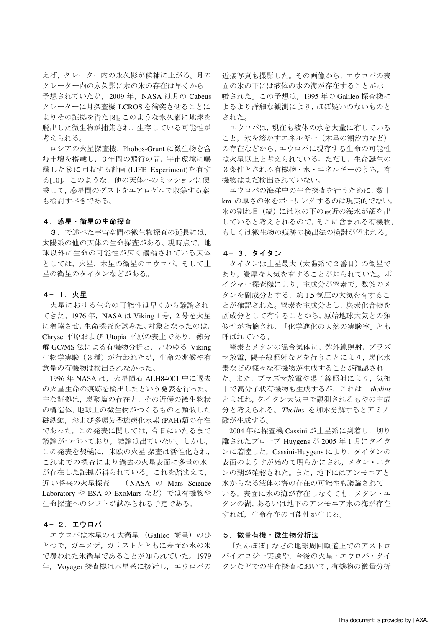えば、クレーター内の永久影が候補に上がる。月の クレーター内の永久影に水の氷の存在は早くから 予想されていたが、2009年、NASAは月の Cabeus クレーターに月探査機 LCROSを衝突させることに よりその証拠を得た[8]。このような永久影に地球を 脱出した微生物が捕集され、生存している可能性が 考えられる。

ロシアの火星探査機, Phobos-Grunt に微生物を含 む土壌を搭載し、3年間の飛行の間、宇宙環境に曝 露した後に回収する計画 (LIFE Experiment)を有す る[10]。このような、他の天体へのミッションに便 乗して、惑星間のダストをエアロゲルで収集する案 も検討すべきである。

### 4. 惑星・衛星の生命探査

3. で述べた宇宙空間の微生物探査の延長には, 太陽系の他の天体の生命探査がある。現時点で、地 球以外に生命の可能性が広く議論されている天体 としては、火星、木星の衛星のエウロパ、そして土 星の衛星のタイタンなどがある。

#### 4- 1. 火星

火星における生命の可能性は早くから議論され てきた。1976年, NASA は Viking 1 号, 2 号を火星 に着陸させ,生命探査を試みた。対象となったのは, Chryse 平原および Utopia 平原の表土であり、熱分 解 GC/MS 法による有機物分析と、いわゆる Viking 生物学実験 (3種) が行われたが、生命の兆候や有 意量の有機物は検出されなかった。

1996年 NASA は、火星隕石 ALH84001 中に過去 の火星生命の痕跡を検出したという発表を行った。 主な証拠は、炭酸塩の存在と、その近傍の微生物状 の構造体, 地球上の微生物がつくるものと類似した 磁鉄鉱, および多環芳香族炭化水素(PAH)類の存在 であった。この発表に関しては、今日にいたるまで 議論がつづいており、結論は出ていない。しかし、 この発表を契機に、米欧の火星 探査は活性化され, これまでの探査により過去の火星表面に多量の水 が存在した証拠が得られている。これを踏まえて, 近い将来の火星探査  $( NASA \oslash Mars Science$ Laboratory や ESA の ExoMars など) では有機物や 生命探査へのシフトが試みられる予定である。

# 4-2. エウロパ

エウロパは木星の4大衛星 (Galileo 衛星) のひ とつで、ガニメデ、カリストとともに表面が水の氷 で覆われた氷衛星であることが知られていた。1979 年, Voyager 探査機は木星系に接近し、エウロパの

近接写真も撮影した。その画像から、エウロパの表 面の氷の下には液体の水の海が存在することが示 唆された。この予想は、1995年の Galileo 探査機に よるより詳細な観測により, ほぼ疑いのないものと された。

エウロパは、現在も液体の水を大量に有している こと、氷を溶かすエネルギー (木星の潮汐力など) の存在などから、エウロパに現存する生命の可能性 は火星以上と考えられている。ただし、生命誕生の 3条件とされる有機物・水・エネルギーのうち、有 機物はまだ検出されていない。

エウロパの海洋中の生命探査を行うために, 数十 km の厚さの氷をボーリングするのは現実的でない。 氷の割れ目 (縞) には氷の下の最近の海水が顔を出 していると考えられるので、そこに含まれる有機物, もしくは微生物の痕跡の検出法の検討が望まれる。

#### 4-3. タイタン

タイタンは土星最大 (太陽系で2番目)の衛星で あり、濃厚な大気を有することが知られていた。ボ イジャー探査機により、主成分が窒素で、数%のメ タンを副成分とする、約1.5 気圧の大気を有するこ とが確認された。窒素を主成分とし、炭素化合物を 副成分として有することから、原始地球大気との類 似性が指摘され、「化学進化の天然の実験室」とも 呼ばれている。

窒素とメタンの混合気体に、紫外線照射、プラズ マ放電, 陽子線照射などを行うことにより, 炭化水 素などの様々な有機物が生成することが確認され た。また、プラズマ放電や陽子線照射により、気相 中で高分子状有機物も生成するが、これは tholins とよばれ, タイタン大気中で観測されるもやの主成 分と考えられる。 Tholins を加水分解するとアミノ 酸が生成する。

2004年に探査機 Cassini が土星系に到着し、切り 離されたプローブ Huygens が 2005 年 1 月にタイタ ンに着陸した。Cassini-Huygens により、タイタンの 表面のようすが始めて明らかにされ、メタン・エタ ンの湖が確認された。また、地下にはアンモニアと 水からなる液体の海の存在の可能性も議論されて いる。表面に水の海が存在しなくても、メタン・エ タンの湖,あるいは地下のアンモニア水の海が存在 すれば、生命存在の可能性が生じる。

# 5. 微量有機 · 微生物分析法

「たんぽぽ」などの地球周回軌道上でのアストロ バイオロジー実験や、今後の火星・エウロパ・タイ タンなどでの生命探査において,有機物の微量分析